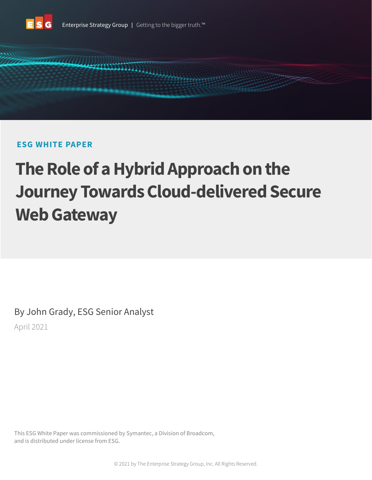

# **ESG WHITE PAPER**

# **The Role of a Hybrid Approach on the Journey Towards Cloud-delivered Secure Web Gateway**

By John Grady, ESG Senior Analyst April 2021

This ESG White Paper was commissioned by Symantec, a Division of Broadcom, and is distributed under license from ESG.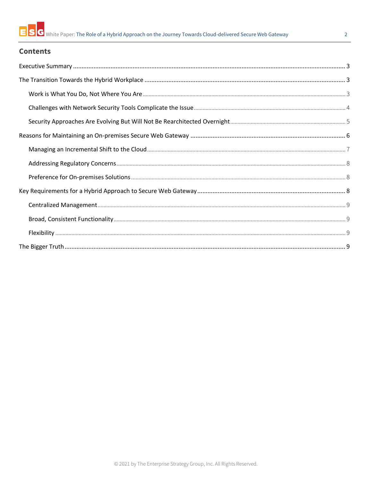# **Contents**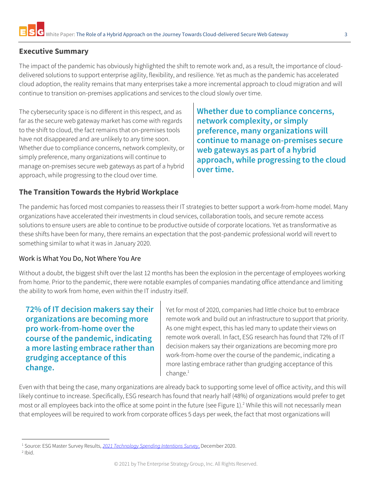# <span id="page-2-0"></span>**Executive Summary**

The impact of the pandemic has obviously highlighted the shift to remote work and, as a result, the importance of clouddelivered solutions to support enterprise agility, flexibility, and resilience. Yet as much as the pandemic has accelerated cloud adoption, the reality remains that many enterprises take a more incremental approach to cloud migration and will continue to transition on-premises applications and services to the cloud slowly over time.

The cybersecurity space is no different in this respect, and as far as the secure web gateway market has come with regards to the shift to cloud, the fact remains that on-premises tools have not disappeared and are unlikely to any time soon. Whether due to compliance concerns, network complexity, or simply preference, many organizations will continue to manage on-premises secure web gateways as part of a hybrid approach, while progressing to the cloud over time.

**Whether due to compliance concerns, network complexity, or simply preference, many organizations will continue to manage on-premises secure web gateways as part of a hybrid approach, while progressing to the cloud over time.**

# <span id="page-2-1"></span>**The Transition Towards the Hybrid Workplace**

The pandemic has forced most companies to reassess their IT strategies to better support a work-from-home model. Many organizations have accelerated their investments in cloud services, collaboration tools, and secure remote access solutions to ensure users are able to continue to be productive outside of corporate locations. Yet as transformative as these shifts have been for many, there remains an expectation that the post-pandemic professional world will revert to something similar to what it was in January 2020.

#### <span id="page-2-2"></span>Work is What You Do, Not Where You Are

Without a doubt, the biggest shift over the last 12 months has been the explosion in the percentage of employees working from home. Prior to the pandemic, there were notable examples of companies mandating office attendance and limiting the ability to work from home, even within the IT industry itself.

**72% of IT decision makers say their organizations are becoming more pro work-from-home over the course of the pandemic, indicating a more lasting embrace rather than grudging acceptance of this change.**

Yet for most of 2020, companies had little choice but to embrace remote work and build out an infrastructure to support that priority. As one might expect, this has led many to update their views on remote work overall. In fact, ESG research has found that 72% of IT decision makers say their organizations are becoming more pro work-from-home over the course of the pandemic, indicating a more lasting embrace rather than grudging acceptance of this  $change.<sup>1</sup>$ 

Even with that being the case, many organizations are already back to supporting some level of office activity, and this will likely continue to increase. Specifically, ESG research has found that nearly half (48%) of organizations would prefer to get most or all employees back into the office at some point in the future (see Figure 1). <sup>2</sup> While this will not necessarily mean that employees will be required to work from corporate offices 5 days per week, the fact that most organizations will

<sup>1</sup> Source: ESG Master Survey Results, *[2021 Technology Spending Intentions Survey](https://research.esg-global.com/reportaction/MSR2021SpendingIntentionsDec2020/Toc)*, December 2020.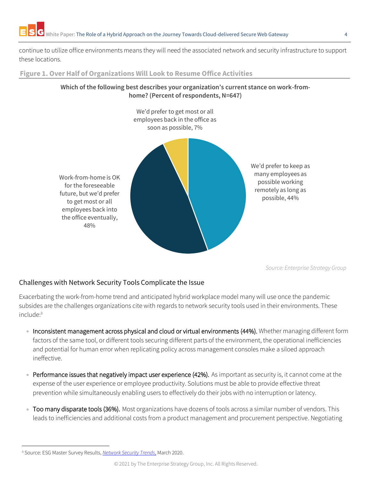continue to utilize office environments means they will need the associated network and security infrastructure to support these locations.

**Figure 1. Over Half of Organizations Will Look to Resume Office Activities**



*Source: Enterprise Strategy Group*

# <span id="page-3-0"></span>Challenges with Network Security Tools Complicate the Issue

Exacerbating the work-from-home trend and anticipated hybrid workplace model many will use once the pandemic subsides are the challenges organizations cite with regards to network security tools used in their environments. These include: 3

- Inconsistent management across physical and cloud or virtual environments (44%). Whether managing different form factors of the same tool, or different tools securing different parts of the environment, the operational inefficiencies and potential for human error when replicating policy across management consoles make a siloed approach ineffective.
- Performance issues that negatively impact user experience (42%). As important as security is, it cannot come at the expense of the user experience or employee productivity. Solutions must be able to provide effective threat prevention while simultaneously enabling users to effectively do their jobs with no interruption or latency.
- Too many disparate tools (36%). Most organizations have dozens of tools across a similar number of vendors. This leads to inefficiencies and additional costs from a product management and procurement perspective. Negotiating

<sup>3</sup> Source: ESG Master Survey Results, *[Network Security Trends](https://research.esg-global.com/reportaction/MSRNetworkSecurityTrendsMar2020/Toc)*, March 2020.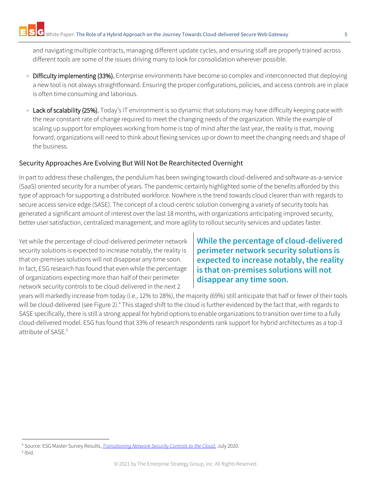and navigating multiple contracts, managing different update cycles, and ensuring staff are properly trained across different tools are some of the issues driving many to look for consolidation wherever possible.

- Difficulty implementing (33%). Enterprise environments have become so complex and interconnected that deploying a new tool is not always straightforward. Ensuring the proper configurations, policies, and access controls are in place is often time consuming and laborious.
- Lack of scalability (25%). Today's IT environment is so dynamic that solutions may have difficulty keeping pace with the near constant rate of change required to meet the changing needs of the organization. While the example of scaling up support for employees working from home is top of mind after the last year, the reality is that, moving forward, organizations will need to think about flexing services up or down to meet the changing needs and shape of the business.

# <span id="page-4-0"></span>Security Approaches Are Evolving But Will Not Be Rearchitected Overnight

In part to address these challenges, the pendulum has been swinging towards cloud-delivered and software-as-a-service (SaaS) oriented security for a number of years. The pandemic certainly highlighted some of the benefits afforded by this type of approach for supporting a distributed workforce. Nowhere is the trend towards cloud clearer than with regards to secure access service edge (SASE). The concept of a cloud-centric solution converging a variety of security tools has generated a significant amount of interest over the last 18 months, with organizations anticipating improved security, better user satisfaction, centralized management, and more agility to rollout security services and updates faster.

Yet while the percentage of cloud-delivered perimeter network security solutions is expected to increase notably, the reality is that on-premises solutions will not disappear any time soon. In fact, ESG research has found that even while the percentage of organizations expecting more than half of their perimeter network security controls to be cloud-delivered in the next 2

**While the percentage of cloud-delivered perimeter network security solutions is expected to increase notably, the reality is that on-premises solutions will not disappear any time soon.**

years will markedly increase from today (i.e., 12% to 28%), the majority (69%) still anticipate that half or fewer of their tools will be cloud-delivered (see Figure 2).<sup>4</sup> This staged shift to the cloud is further evidenced by the fact that, with regards to SASE specifically, there is still a strong appeal for hybrid options to enable organizations to transition over time to a fully cloud-delivered model. ESG has found that 33% of research respondents rank support for hybrid architectures as a top-3 attribute of SASE.<sup>5</sup>

<sup>4</sup> Source: ESG Master Survey Results, *[Transitioning Network Security Controls to the Cloud](https://research.esg-global.com/reportaction/TransitioningNetworkSecurityControlstotheCloudMSR/Toc)*, July 2020. 5 Ibid.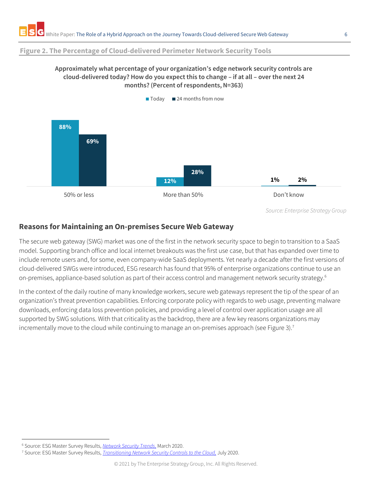#### **Figure 2. The Percentage of Cloud-delivered Perimeter Network Security Tools**

#### **Approximately what percentage of your organization's edge network security controls are cloud-delivered today? How do you expect this to change – if at all – over the next 24 months? (Percent of respondents, N=363)**



*Source: Enterprise Strategy Group*

### <span id="page-5-0"></span>**Reasons for Maintaining an On-premises Secure Web Gateway**

The secure web gateway (SWG) market was one of the first in the network security space to begin to transition to a SaaS model. Supporting branch office and local internet breakouts was the first use case, but that has expanded over time to include remote users and, for some, even company-wide SaaS deployments. Yet nearly a decade after the first versions of cloud-delivered SWGs were introduced, ESG research has found that 95% of enterprise organizations continue to use an on-premises, appliance-based solution as part of their access control and management network security strategy. 6

In the context of the daily routine of many knowledge workers, secure web gateways represent the tip of the spear of an organization's threat prevention capabilities. Enforcing corporate policy with regards to web usage, preventing malware downloads, enforcing data loss prevention policies, and providing a level of control over application usage are all supported by SWG solutions. With that criticality as the backdrop, there are a few key reasons organizations may incrementally move to the cloud while continuing to manage an on-premises approach (see Figure 3).<sup>7</sup>

<sup>6</sup> Source: ESG Master Survey Results, *[Network Security Trends](https://research.esg-global.com/reportaction/MSRNetworkSecurityTrendsMar2020/Toc)*, March 2020.

<sup>7</sup> Source: ESG Master Survey Results, *[Transitioning Network Security Controls to the Cloud,](https://research.esg-global.com/reportaction/TransitioningNetworkSecurityControlstotheCloudMSR/Toc)* July 2020.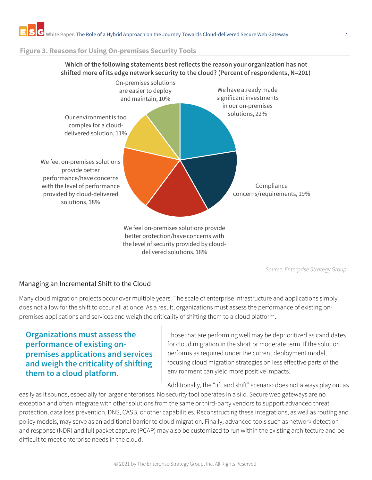#### **Figure 3. Reasons for Using On-premises Security Tools**



**Which of the following statements best reflects the reason your organization has not** 

*Source: Enterprise Strategy Group*

# <span id="page-6-0"></span>Managing an Incremental Shift to the Cloud

Many cloud migration projects occur over multiple years. The scale of enterprise infrastructure and applications simply does not allow for the shift to occur all at once. As a result, organizations must assess the performance of existing onpremises applications and services and weigh the criticality of shifting them to a cloud platform.

# **Organizations must assess the performance of existing onpremises applications and services and weigh the criticality of shifting them to a cloud platform.**

Those that are performing well may be deprioritized as candidates for cloud migration in the short or moderate term. If the solution performs as required under the current deployment model, focusing cloud migration strategies on less effective parts of the environment can yield more positive impacts.

Additionally, the "lift and shift" scenario does not always play out as

easily as it sounds, especially for larger enterprises. No security tool operates in a silo. Secure web gateways are no exception and often integrate with other solutions from the same or third-party vendors to support advanced threat protection, data loss prevention, DNS, CASB, or other capabilities. Reconstructing these integrations, as well as routing and policy models, may serve as an additional barrier to cloud migration. Finally, advanced tools such as network detection and response (NDR) and full packet capture (PCAP) may also be customized to run within the existing architecture and be difficult to meet enterprise needs in the cloud.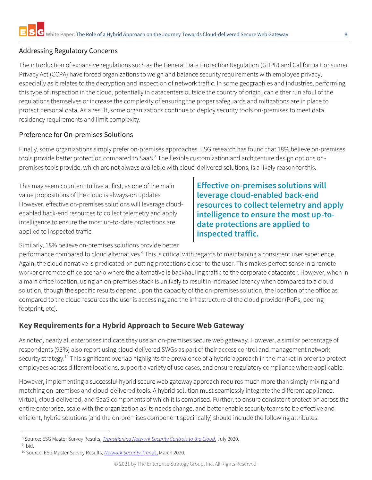### <span id="page-7-0"></span>Addressing Regulatory Concerns

The introduction of expansive regulations such as the General Data Protection Regulation (GDPR) and California Consumer Privacy Act (CCPA) have forced organizations to weigh and balance security requirements with employee privacy, especially as it relates to the decryption and inspection of network traffic. In some geographies and industries, performing this type of inspection in the cloud, potentially in datacenters outside the country of origin, can either run afoul of the regulations themselves or increase the complexity of ensuring the proper safeguards and mitigations are in place to protect personal data. As a result, some organizations continue to deploy security tools on-premises to meet data residency requirements and limit complexity.

### <span id="page-7-1"></span>Preference for On-premises Solutions

Finally, some organizations simply prefer on-premises approaches. ESG research has found that 18% believe on-premises tools provide better protection compared to SaaS.<sup>8</sup> The flexible customization and architecture design options onpremises tools provide, which are not always available with cloud-delivered solutions, is a likely reason for this.

This may seem counterintuitive at first, as one of the main value propositions of the cloud is always-on updates. However, effective on-premises solutions will leverage cloudenabled back-end resources to collect telemetry and apply intelligence to ensure the most up-to-date protections are applied to inspected traffic.

Similarly, 18% believe on-premises solutions provide better

**Effective on-premises solutions will leverage cloud-enabled back-end resources to collect telemetry and apply intelligence to ensure the most up-todate protections are applied to inspected traffic.**

performance compared to cloud alternatives.<sup>9</sup> This is critical with regards to maintaining a consistent user experience. Again, the cloud narrative is predicated on putting protections closer to the user. This makes perfect sense in a remote worker or remote office scenario where the alternative is backhauling traffic to the corporate datacenter. However, when in a main office location, using an on-premises stack is unlikely to result in increased latency when compared to a cloud solution, though the specific results depend upon the capacity of the on-premises solution, the location of the office as compared to the cloud resources the user is accessing, and the infrastructure of the cloud provider (PoPs, peering footprint, etc).

# <span id="page-7-2"></span>**Key Requirements for a Hybrid Approach to Secure Web Gateway**

As noted, nearly all enterprises indicate they use an on-premises secure web gateway. However, a similar percentage of respondents (93%) also report using cloud-delivered SWGs as part of their access control and management network security strategy.<sup>10</sup> This significant overlap highlights the prevalence of a hybrid approach in the market in order to protect employees across different locations, support a variety of use cases, and ensure regulatory compliance where applicable.

However, implementing a successful hybrid secure web gateway approach requires much more than simply mixing and matching on-premises and cloud-delivered tools. A hybrid solution must seamlessly integrate the different appliance, virtual, cloud-delivered, and SaaS components of which it is comprised. Further, to ensure consistent protection across the entire enterprise, scale with the organization as its needs change, and better enable security teams to be effective and efficient, hybrid solutions (and the on-premises component specifically) should include the following attributes:

<sup>8</sup> Source: ESG Master Survey Results, *[Transitioning Network Security Controls to the Cloud,](https://research.esg-global.com/reportaction/TransitioningNetworkSecurityControlstotheCloudMSR/Toc)* July 2020.

<sup>&</sup>lt;sup>9</sup> Ibid.

<sup>10</sup> Source: ESG Master Survey Results, *[Network Security Trends](https://research.esg-global.com/reportaction/MSRNetworkSecurityTrendsMar2020/Toc)*, March 2020.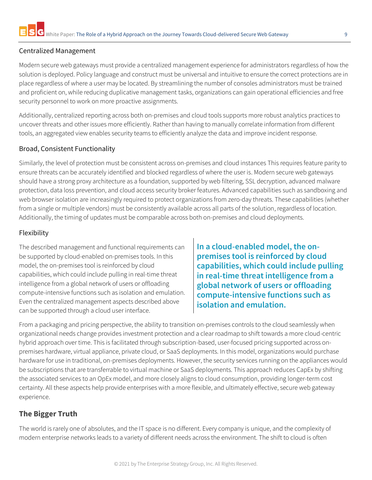### <span id="page-8-0"></span>Centralized Management

Modern secure web gateways must provide a centralized management experience for administrators regardless of how the solution is deployed. Policy language and construct must be universal and intuitive to ensure the correct protections are in place regardless of where a user may be located. By streamlining the number of consoles administrators must be trained and proficient on, while reducing duplicative management tasks, organizations can gain operational efficiencies and free security personnel to work on more proactive assignments.

Additionally, centralized reporting across both on-premises and cloud tools supports more robust analytics practices to uncover threats and other issues more efficiently. Rather than having to manually correlate information from different tools, an aggregated view enables security teams to efficiently analyze the data and improve incident response.

# <span id="page-8-1"></span>Broad, Consistent Functionality

Similarly, the level of protection must be consistent across on-premises and cloud instances This requires feature parity to ensure threats can be accurately identified and blocked regardless of where the user is. Modern secure web gateways should have a strong proxy architecture as a foundation, supported by web filtering, SSL decryption, advanced malware protection, data loss prevention, and cloud access security broker features. Advanced capabilities such as sandboxing and web browser isolation are increasingly required to protect organizations from zero-day threats. These capabilities (whether from a single or multiple vendors) must be consistently available across all parts of the solution, regardless of location. Additionally, the timing of updates must be comparable across both on-premises and cloud deployments.

# <span id="page-8-2"></span>Flexibility

The described management and functional requirements can be supported by cloud-enabled on-premises tools. In this model, the on-premises tool is reinforced by cloud capabilities, which could include pulling in real-time threat intelligence from a global network of users or offloading compute-intensive functions such as isolation and emulation. Even the centralized management aspects described above can be supported through a cloud user interface.

**In a cloud-enabled model, the onpremises tool is reinforced by cloud capabilities, which could include pulling in real-time threat intelligence from a global network of users or offloading compute-intensive functions such as isolation and emulation.**

From a packaging and pricing perspective, the ability to transition on-premises controls to the cloud seamlessly when organizational needs change provides investment protection and a clear roadmap to shift towards a more cloud-centric hybrid approach over time. This is facilitated through subscription-based, user-focused pricing supported across onpremises hardware, virtual appliance, private cloud, or SaaS deployments. In this model, organizations would purchase hardware for use in traditional, on-premises deployments. However, the security services running on the appliances would be subscriptions that are transferrable to virtual machine or SaaS deployments. This approach reduces CapEx by shifting the associated services to an OpEx model, and more closely aligns to cloud consumption, providing longer-term cost certainty. All these aspects help provide enterprises with a more flexible, and ultimately effective, secure web gateway experience.

# <span id="page-8-3"></span>**The Bigger Truth**

The world is rarely one of absolutes, and the IT space is no different. Every company is unique, and the complexity of modern enterprise networks leads to a variety of different needs across the environment. The shift to cloud is often